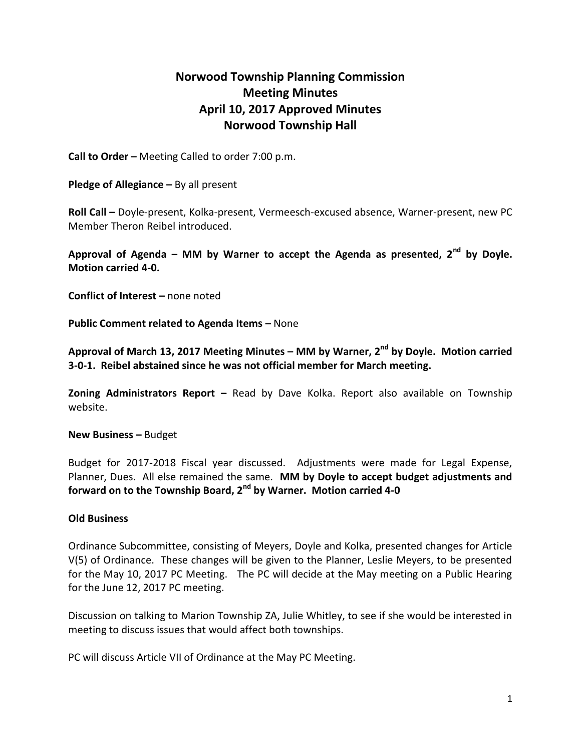## **Norwood Township Planning Commission Meeting Minutes April 10, 2017 Approved Minutes Norwood Township Hall**

**Call to Order –** Meeting Called to order 7:00 p.m.

**Pledge of Allegiance –** By all present

**Roll Call –** Doyle-present, Kolka-present, Vermeesch-excused absence, Warner-present, new PC Member Theron Reibel introduced.

**Approval of Agenda – MM by Warner to accept the Agenda as presented, 2nd by Doyle. Motion carried 4-0.**

**Conflict of Interest –** none noted

**Public Comment related to Agenda Items - None** 

**Approval of March 13, 2017 Meeting Minutes – MM by Warner, 2nd by Doyle. Motion carried 3-0-1. Reibel abstained since he was not official member for March meeting.**

**Zoning Administrators Report –** Read by Dave Kolka. Report also available on Township website.

**New Business –** Budget

Budget for 2017-2018 Fiscal year discussed. Adjustments were made for Legal Expense, Planner, Dues. All else remained the same. **MM by Doyle to accept budget adjustments and forward on to the Township Board, 2nd by Warner. Motion carried 4-0**

## **Old Business**

Ordinance Subcommittee, consisting of Meyers, Doyle and Kolka, presented changes for Article V(5) of Ordinance. These changes will be given to the Planner, Leslie Meyers, to be presented for the May 10, 2017 PC Meeting. The PC will decide at the May meeting on a Public Hearing for the June 12, 2017 PC meeting.

Discussion on talking to Marion Township ZA, Julie Whitley, to see if she would be interested in meeting to discuss issues that would affect both townships.

PC will discuss Article VII of Ordinance at the May PC Meeting.